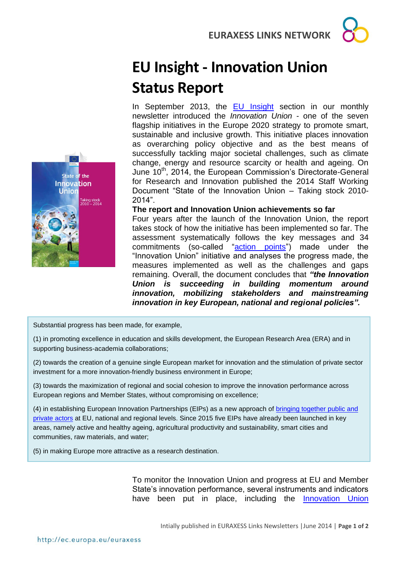## **EU Insight - Innovation Union Status Report**

In September 2013, the [EU Insight](http://ec.europa.eu/euraxess/data/links/brazil/docs/EU%20Insight%20-%20The%20Innovation%20Union.pdf) section in our monthly newsletter introduced the *Innovation Union* - one of the seven flagship initiatives in the Europe 2020 strategy to promote smart, sustainable and inclusive growth. This initiative places innovation as overarching policy objective and as the best means of successfully tackling major societal challenges, such as climate change, energy and resource scarcity or health and ageing. On June 10<sup>th</sup>, 2014, the European Commission's Directorate-General for Research and Innovation published the 2014 Staff Working Document "State of the Innovation Union – Taking stock 2010- 2014".

**The report and Innovation Union achievements so far** Four years after the launch of the Innovation Union, the report takes stock of how the initiative has been implemented so far. The assessment systematically follows the key messages and 34 commitments (so-called "[action points](http://ec.europa.eu/research/innovation-union/index_en.cfm?pg=action-points&view=all#action1)") made under the "Innovation Union" initiative and analyses the progress made, the measures implemented as well as the challenges and gaps remaining. Overall, the document concludes that *"the Innovation Union is succeeding in building momentum around innovation, mobilizing stakeholders and mainstreaming innovation in key European, national and regional policies".*

Substantial progress has been made, for example,

(1) in promoting excellence in education and skills development, the European Research Area (ERA) and in supporting business-academia collaborations;

(2) towards the creation of a genuine single European market for innovation and the stimulation of private sector investment for a more innovation-friendly business environment in Europe;

(3) towards the maximization of regional and social cohesion to improve the innovation performance across European regions and Member States, without compromising on excellence;

(4) in establishing European Innovation Partnerships (EIPs) as a new approach of [bringing together public and](http://ec.europa.eu/research/innovation-union/index_en.cfm?pg=eip)  [private actors](http://ec.europa.eu/research/innovation-union/index_en.cfm?pg=eip) at EU, national and regional levels. Since 2015 five EIPs have already been launched in key areas, namely active and healthy ageing, agricultural productivity and sustainability, smart cities and communities, raw materials, and water;

(5) in making Europe more attractive as a research destination.

To monitor the Innovation Union and progress at EU and Member State's innovation performance, several instruments and indicators have been put in place, including the Innovation Union